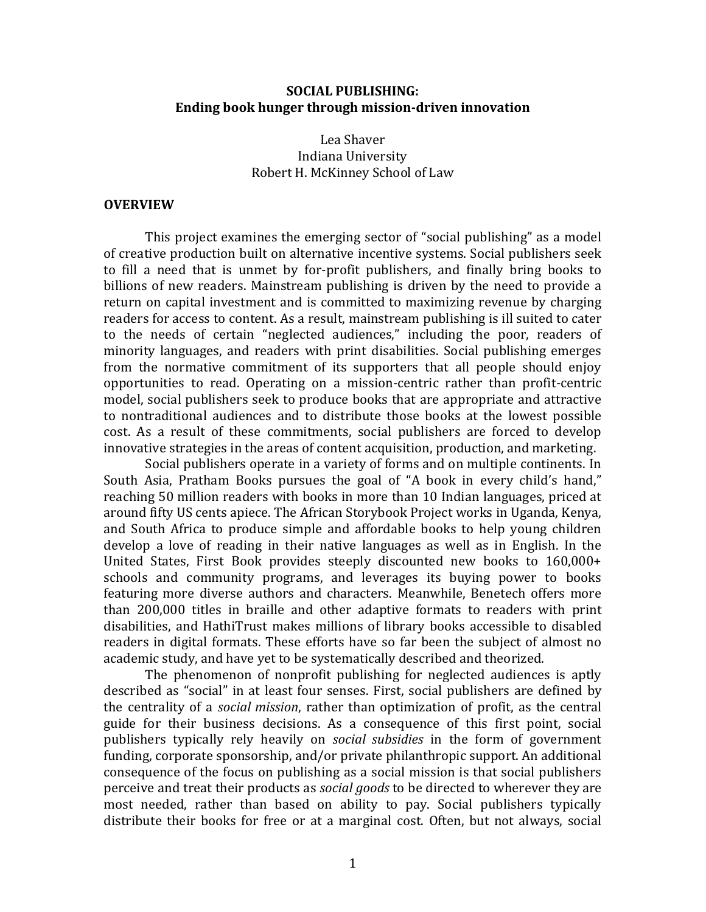#### **SOCIAL PUBLISHING: Ending book hunger through mission-driven innovation**

#### Lea Shaver Indiana University Robert H. McKinney School of Law

#### **OVERVIEW**

This project examines the emerging sector of "social publishing" as a model of creative production built on alternative incentive systems. Social publishers seek to fill a need that is unmet by for-profit publishers, and finally bring books to billions of new readers. Mainstream publishing is driven by the need to provide a return on capital investment and is committed to maximizing revenue by charging readers for access to content. As a result, mainstream publishing is ill suited to cater to the needs of certain "neglected audiences," including the poor, readers of minority languages, and readers with print disabilities. Social publishing emerges from the normative commitment of its supporters that all people should enjoy opportunities to read. Operating on a mission-centric rather than profit-centric model, social publishers seek to produce books that are appropriate and attractive to nontraditional audiences and to distribute those books at the lowest possible cost. As a result of these commitments, social publishers are forced to develop innovative strategies in the areas of content acquisition, production, and marketing.

Social publishers operate in a variety of forms and on multiple continents. In South Asia, Pratham Books pursues the goal of "A book in every child's hand," reaching 50 million readers with books in more than 10 Indian languages, priced at around fifty US cents apiece. The African Storybook Project works in Uganda, Kenya, and South Africa to produce simple and affordable books to help young children develop a love of reading in their native languages as well as in English. In the United States, First Book provides steeply discounted new books to 160,000+ schools and community programs, and leverages its buying power to books featuring more diverse authors and characters. Meanwhile, Benetech offers more than 200,000 titles in braille and other adaptive formats to readers with print disabilities, and HathiTrust makes millions of library books accessible to disabled readers in digital formats. These efforts have so far been the subject of almost no academic study, and have yet to be systematically described and theorized.

The phenomenon of nonprofit publishing for neglected audiences is aptly described as "social" in at least four senses. First, social publishers are defined by the centrality of a *social mission*, rather than optimization of profit, as the central guide for their business decisions. As a consequence of this first point, social publishers typically rely heavily on *social subsidies* in the form of government funding, corporate sponsorship, and/or private philanthropic support. An additional consequence of the focus on publishing as a social mission is that social publishers perceive and treat their products as *social goods* to be directed to wherever they are most needed, rather than based on ability to pay. Social publishers typically distribute their books for free or at a marginal cost. Often, but not always, social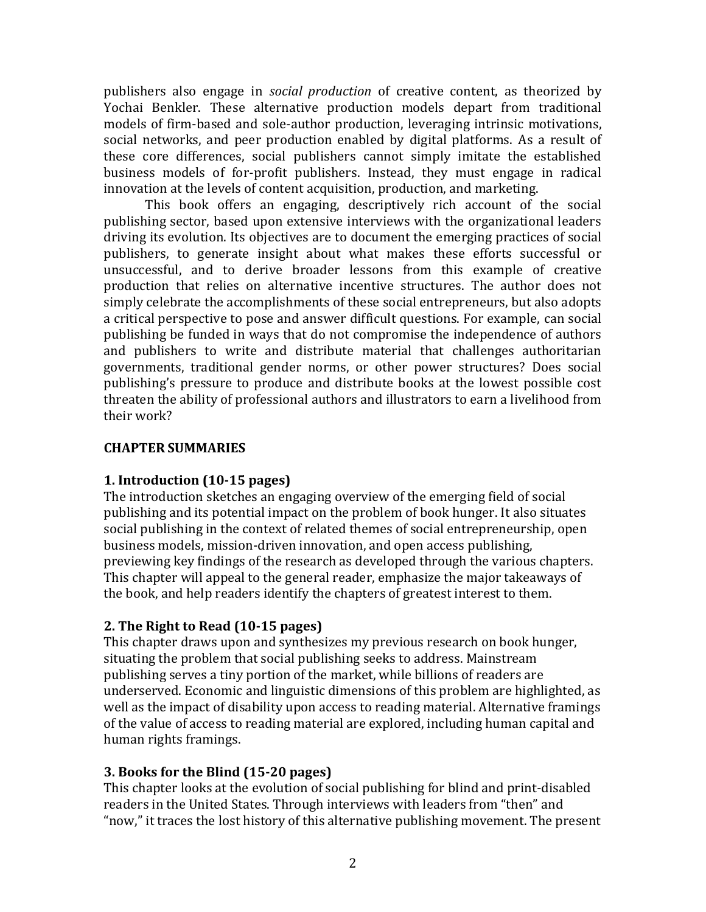publishers also engage in *social production* of creative content, as theorized by Yochai Benkler. These alternative production models depart from traditional models of firm-based and sole-author production, leveraging intrinsic motivations, social networks, and peer production enabled by digital platforms. As a result of these core differences, social publishers cannot simply imitate the established business models of for-profit publishers. Instead, they must engage in radical innovation at the levels of content acquisition, production, and marketing.

This book offers an engaging, descriptively rich account of the social publishing sector, based upon extensive interviews with the organizational leaders driving its evolution. Its objectives are to document the emerging practices of social publishers, to generate insight about what makes these efforts successful or unsuccessful, and to derive broader lessons from this example of creative production that relies on alternative incentive structures. The author does not simply celebrate the accomplishments of these social entrepreneurs, but also adopts a critical perspective to pose and answer difficult questions. For example, can social publishing be funded in ways that do not compromise the independence of authors and publishers to write and distribute material that challenges authoritarian governments, traditional gender norms, or other power structures? Does social publishing's pressure to produce and distribute books at the lowest possible cost threaten the ability of professional authors and illustrators to earn a livelihood from their work?

### **CHAPTER SUMMARIES**

# **1. Introduction (10-15 pages)**

The introduction sketches an engaging overview of the emerging field of social publishing and its potential impact on the problem of book hunger. It also situates social publishing in the context of related themes of social entrepreneurship, open business models, mission-driven innovation, and open access publishing, previewing key findings of the research as developed through the various chapters. This chapter will appeal to the general reader, emphasize the major takeaways of the book, and help readers identify the chapters of greatest interest to them.

# **2. The Right to Read (10-15 pages)**

This chapter draws upon and synthesizes my previous research on book hunger, situating the problem that social publishing seeks to address. Mainstream publishing serves a tiny portion of the market, while billions of readers are underserved. Economic and linguistic dimensions of this problem are highlighted, as well as the impact of disability upon access to reading material. Alternative framings of the value of access to reading material are explored, including human capital and human rights framings.

# **3. Books for the Blind (15-20 pages)**

This chapter looks at the evolution of social publishing for blind and print-disabled readers in the United States. Through interviews with leaders from "then" and "now," it traces the lost history of this alternative publishing movement. The present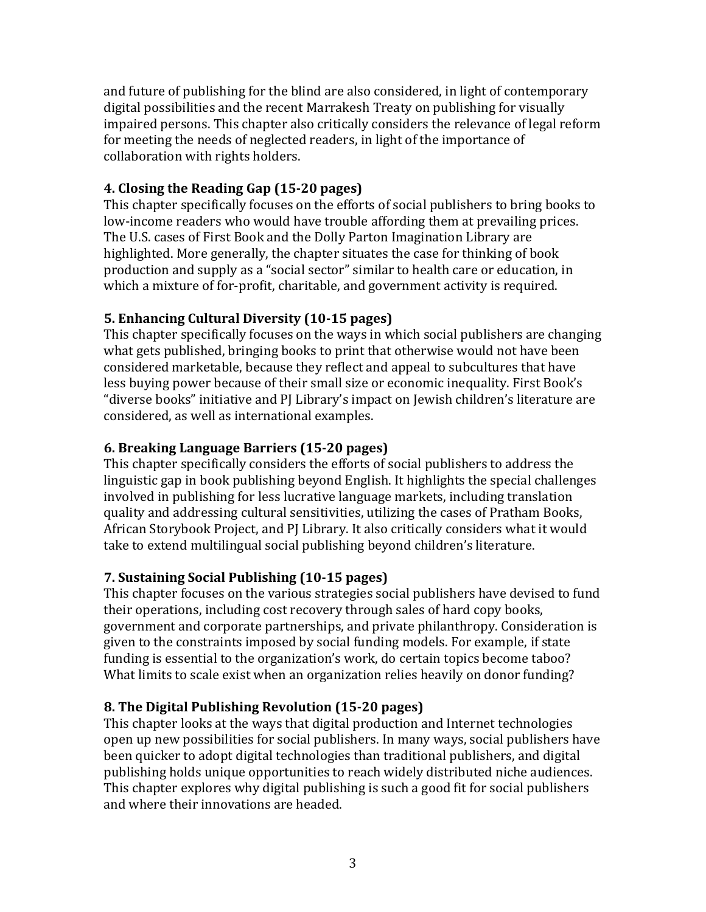and future of publishing for the blind are also considered, in light of contemporary digital possibilities and the recent Marrakesh Treaty on publishing for visually impaired persons. This chapter also critically considers the relevance of legal reform for meeting the needs of neglected readers, in light of the importance of collaboration with rights holders.

### **4. Closing the Reading Gap (15-20 pages)**

This chapter specifically focuses on the efforts of social publishers to bring books to low-income readers who would have trouble affording them at prevailing prices. The U.S. cases of First Book and the Dolly Parton Imagination Library are highlighted. More generally, the chapter situates the case for thinking of book production and supply as a "social sector" similar to health care or education, in which a mixture of for-profit, charitable, and government activity is required.

# **5. Enhancing Cultural Diversity (10-15 pages)**

This chapter specifically focuses on the ways in which social publishers are changing what gets published, bringing books to print that otherwise would not have been considered marketable, because they reflect and appeal to subcultures that have less buying power because of their small size or economic inequality. First Book's "diverse books" initiative and PJ Library's impact on Jewish children's literature are considered, as well as international examples.

### **6. Breaking Language Barriers (15-20 pages)**

This chapter specifically considers the efforts of social publishers to address the linguistic gap in book publishing beyond English. It highlights the special challenges involved in publishing for less lucrative language markets, including translation quality and addressing cultural sensitivities, utilizing the cases of Pratham Books, African Storybook Project, and PJ Library. It also critically considers what it would take to extend multilingual social publishing beyond children's literature.

# **7. Sustaining Social Publishing (10-15 pages)**

This chapter focuses on the various strategies social publishers have devised to fund their operations, including cost recovery through sales of hard copy books, government and corporate partnerships, and private philanthropy. Consideration is given to the constraints imposed by social funding models. For example, if state funding is essential to the organization's work, do certain topics become taboo? What limits to scale exist when an organization relies heavily on donor funding?

# **8. The Digital Publishing Revolution (15-20 pages)**

This chapter looks at the ways that digital production and Internet technologies open up new possibilities for social publishers. In many ways, social publishers have been quicker to adopt digital technologies than traditional publishers, and digital publishing holds unique opportunities to reach widely distributed niche audiences. This chapter explores why digital publishing is such a good fit for social publishers and where their innovations are headed.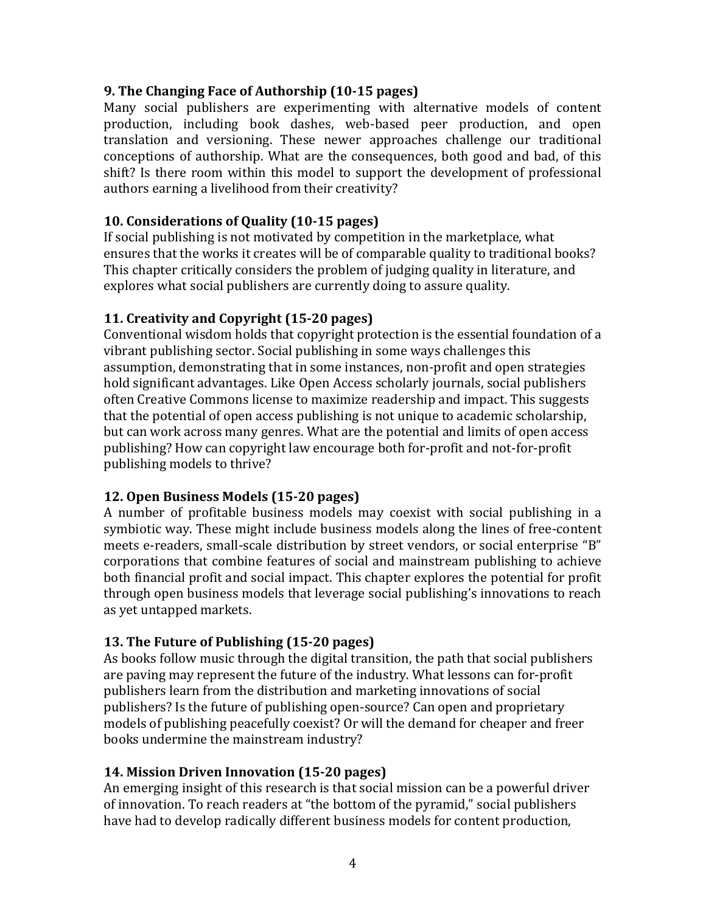### **9. The Changing Face of Authorship (10-15 pages)**

Many social publishers are experimenting with alternative models of content production, including book dashes, web-based peer production, and open translation and versioning. These newer approaches challenge our traditional conceptions of authorship. What are the consequences, both good and bad, of this shift? Is there room within this model to support the development of professional authors earning a livelihood from their creativity?

### **10. Considerations of Quality (10-15 pages)**

If social publishing is not motivated by competition in the marketplace, what ensures that the works it creates will be of comparable quality to traditional books? This chapter critically considers the problem of judging quality in literature, and explores what social publishers are currently doing to assure quality.

# **11. Creativity and Copyright (15-20 pages)**

Conventional wisdom holds that copyright protection is the essential foundation of a vibrant publishing sector. Social publishing in some ways challenges this assumption, demonstrating that in some instances, non-profit and open strategies hold significant advantages. Like Open Access scholarly journals, social publishers often Creative Commons license to maximize readership and impact. This suggests that the potential of open access publishing is not unique to academic scholarship, but can work across many genres. What are the potential and limits of open access publishing? How can copyright law encourage both for-profit and not-for-profit publishing models to thrive?

# **12. Open Business Models (15-20 pages)**

A number of profitable business models may coexist with social publishing in a symbiotic way. These might include business models along the lines of free-content meets e-readers, small-scale distribution by street vendors, or social enterprise "B" corporations that combine features of social and mainstream publishing to achieve both financial profit and social impact. This chapter explores the potential for profit through open business models that leverage social publishing's innovations to reach as yet untapped markets.

# **13. The Future of Publishing (15-20 pages)**

As books follow music through the digital transition, the path that social publishers are paving may represent the future of the industry. What lessons can for-profit publishers learn from the distribution and marketing innovations of social publishers? Is the future of publishing open-source? Can open and proprietary models of publishing peacefully coexist? Or will the demand for cheaper and freer books undermine the mainstream industry?

#### **14. Mission Driven Innovation (15-20 pages)**

An emerging insight of this research is that social mission can be a powerful driver of innovation. To reach readers at "the bottom of the pyramid," social publishers have had to develop radically different business models for content production,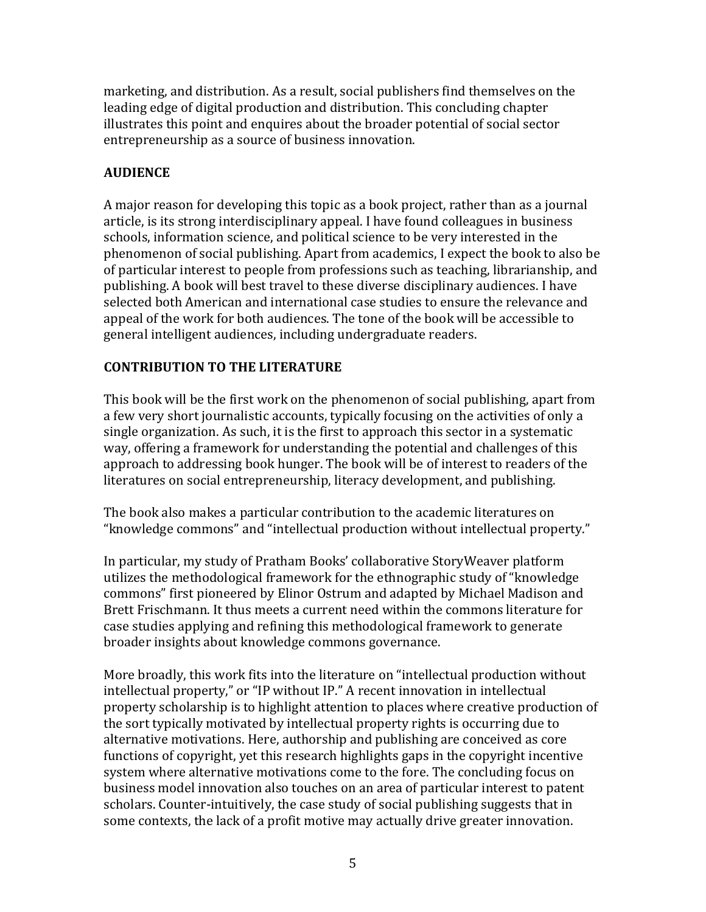marketing, and distribution. As a result, social publishers find themselves on the leading edge of digital production and distribution. This concluding chapter illustrates this point and enquires about the broader potential of social sector entrepreneurship as a source of business innovation.

# **AUDIENCE**

A major reason for developing this topic as a book project, rather than as a journal article, is its strong interdisciplinary appeal. I have found colleagues in business schools, information science, and political science to be very interested in the phenomenon of social publishing. Apart from academics, I expect the book to also be of particular interest to people from professions such as teaching, librarianship, and publishing. A book will best travel to these diverse disciplinary audiences. I have selected both American and international case studies to ensure the relevance and appeal of the work for both audiences. The tone of the book will be accessible to general intelligent audiences, including undergraduate readers.

# **CONTRIBUTION TO THE LITERATURE**

This book will be the first work on the phenomenon of social publishing, apart from a few very short journalistic accounts, typically focusing on the activities of only a single organization. As such, it is the first to approach this sector in a systematic way, offering a framework for understanding the potential and challenges of this approach to addressing book hunger. The book will be of interest to readers of the literatures on social entrepreneurship, literacy development, and publishing.

The book also makes a particular contribution to the academic literatures on "knowledge commons" and "intellectual production without intellectual property."

In particular, my study of Pratham Books' collaborative StoryWeaver platform utilizes the methodological framework for the ethnographic study of "knowledge commons" first pioneered by Elinor Ostrum and adapted by Michael Madison and Brett Frischmann. It thus meets a current need within the commons literature for case studies applying and refining this methodological framework to generate broader insights about knowledge commons governance.

More broadly, this work fits into the literature on "intellectual production without intellectual property," or "IP without IP." A recent innovation in intellectual property scholarship is to highlight attention to places where creative production of the sort typically motivated by intellectual property rights is occurring due to alternative motivations. Here, authorship and publishing are conceived as core functions of copyright, yet this research highlights gaps in the copyright incentive system where alternative motivations come to the fore. The concluding focus on business model innovation also touches on an area of particular interest to patent scholars. Counter-intuitively, the case study of social publishing suggests that in some contexts, the lack of a profit motive may actually drive greater innovation.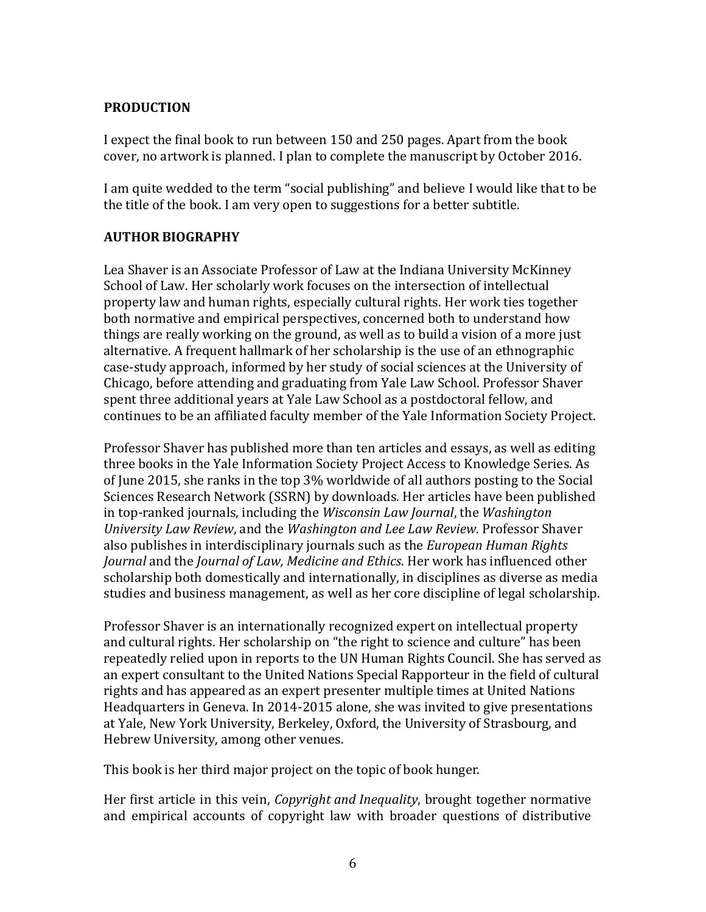### **PRODUCTION**

I expect the final book to run between 150 and 250 pages. Apart from the book cover, no artwork is planned. I plan to complete the manuscript by October 2016.

I am quite wedded to the term "social publishing" and believe I would like that to be the title of the book. I am very open to suggestions for a better subtitle.

# **AUTHOR BIOGRAPHY**

Lea Shaver is an Associate Professor of Law at the Indiana University McKinney School of Law. Her scholarly work focuses on the intersection of intellectual property law and human rights, especially cultural rights. Her work ties together both normative and empirical perspectives, concerned both to understand how things are really working on the ground, as well as to build a vision of a more just alternative. A frequent hallmark of her scholarship is the use of an ethnographic case-study approach, informed by her study of social sciences at the University of Chicago, before attending and graduating from Yale Law School. Professor Shaver spent three additional years at Yale Law School as a postdoctoral fellow, and continues to be an affiliated faculty member of the Yale Information Society Project.

Professor Shaver has published more than ten articles and essays, as well as editing three books in the Yale Information Society Project Access to Knowledge Series. As of June 2015, she ranks in the top 3% worldwide of all authors posting to the Social Sciences Research Network (SSRN) by downloads. Her articles have been published in top-ranked journals, including the *Wisconsin Law Journal*, the *Washington University Law Review*, and the *Washington and Lee Law Review.* Professor Shaver also publishes in interdisciplinary journals such as the *European Human Rights Journal* and the *Journal of Law, Medicine and Ethics*. Her work has influenced other scholarship both domestically and internationally, in disciplines as diverse as media studies and business management, as well as her core discipline of legal scholarship.

Professor Shaver is an internationally recognized expert on intellectual property and cultural rights. Her scholarship on "the right to science and culture" has been repeatedly relied upon in reports to the UN Human Rights Council. She has served as an expert consultant to the United Nations Special Rapporteur in the field of cultural rights and has appeared as an expert presenter multiple times at United Nations Headquarters in Geneva. In 2014-2015 alone, she was invited to give presentations at Yale, New York University, Berkeley, Oxford, the University of Strasbourg, and Hebrew University, among other venues.

This book is her third major project on the topic of book hunger.

Her first article in this vein, *Copyright and Inequality*, brought together normative and empirical accounts of copyright law with broader questions of distributive